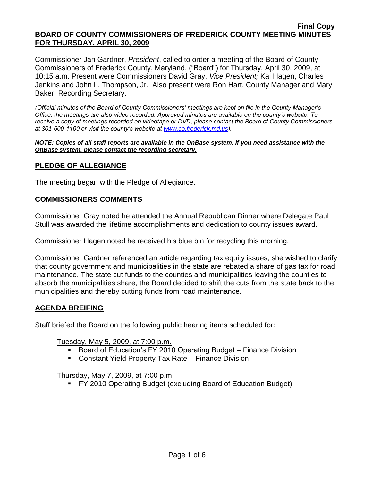#### **Final Copy BOARD OF COUNTY COMMISSIONERS OF FREDERICK COUNTY MEETING MINUTES FOR THURSDAY, APRIL 30, 2009**

Commissioner Jan Gardner, *President*, called to order a meeting of the Board of County Commissioners of Frederick County, Maryland, ("Board") for Thursday, April 30, 2009, at 10:15 a.m. Present were Commissioners David Gray, *Vice President;* Kai Hagen, Charles Jenkins and John L. Thompson, Jr. Also present were Ron Hart, County Manager and Mary Baker, Recording Secretary.

*(Official minutes of the Board of County Commissioners' meetings are kept on file in the County Manager's Office; the meetings are also video recorded. Approved minutes are available on the county's website. To receive a copy of meetings recorded on videotape or DVD, please contact the Board of County Commissioners at 301-600-1100 or visit the county's website at [www.co.frederick.md.us\)](http://www.co.frederick.md.us/).*

#### *NOTE: Copies of all staff reports are available in the OnBase system. If you need assistance with the OnBase system, please contact the recording secretary.*

## **PLEDGE OF ALLEGIANCE**

The meeting began with the Pledge of Allegiance.

#### **COMMISSIONERS COMMENTS**

Commissioner Gray noted he attended the Annual Republican Dinner where Delegate Paul Stull was awarded the lifetime accomplishments and dedication to county issues award.

Commissioner Hagen noted he received his blue bin for recycling this morning.

Commissioner Gardner referenced an article regarding tax equity issues, she wished to clarify that county government and municipalities in the state are rebated a share of gas tax for road maintenance. The state cut funds to the counties and municipalities leaving the counties to absorb the municipalities share, the Board decided to shift the cuts from the state back to the municipalities and thereby cutting funds from road maintenance.

## **AGENDA BREIFING**

Staff briefed the Board on the following public hearing items scheduled for:

## Tuesday, May 5, 2009, at 7:00 p.m.

- Board of Education's FY 2010 Operating Budget Finance Division
- Constant Yield Property Tax Rate Finance Division

## Thursday, May 7, 2009, at 7:00 p.m.

FY 2010 Operating Budget (excluding Board of Education Budget)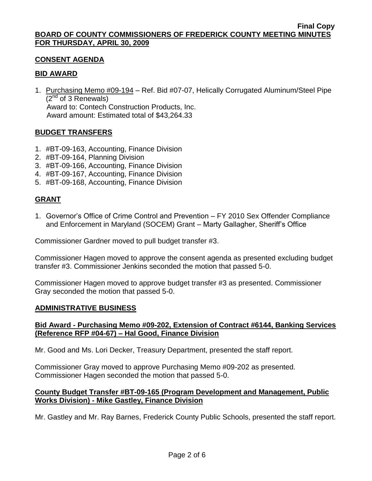## **CONSENT AGENDA**

### **BID AWARD**

1. Purchasing Memo #09-194 – Ref. Bid #07-07, Helically Corrugated Aluminum/Steel Pipe  $(2^{nd}$  of 3 Renewals) Award to: Contech Construction Products, Inc. Award amount: Estimated total of \$43,264.33

## **BUDGET TRANSFERS**

- 1. #BT-09-163, Accounting, Finance Division
- 2. #BT-09-164, Planning Division
- 3. #BT-09-166, Accounting, Finance Division
- 4. #BT-09-167, Accounting, Finance Division
- 5. #BT-09-168, Accounting, Finance Division

## **GRANT**

1. Governor's Office of Crime Control and Prevention – FY 2010 Sex Offender Compliance and Enforcement in Maryland (SOCEM) Grant – Marty Gallagher, Sheriff's Office

Commissioner Gardner moved to pull budget transfer #3.

Commissioner Hagen moved to approve the consent agenda as presented excluding budget transfer #3. Commissioner Jenkins seconded the motion that passed 5-0.

Commissioner Hagen moved to approve budget transfer #3 as presented. Commissioner Gray seconded the motion that passed 5-0.

## **ADMINISTRATIVE BUSINESS**

## **Bid Award - Purchasing Memo #09-202, Extension of Contract #6144, Banking Services (Reference RFP #04-67) – Hal Good, Finance Division**

Mr. Good and Ms. Lori Decker, Treasury Department, presented the staff report.

Commissioner Gray moved to approve Purchasing Memo #09-202 as presented. Commissioner Hagen seconded the motion that passed 5-0.

## **County Budget Transfer #BT-09-165 (Program Development and Management, Public Works Division) - Mike Gastley, Finance Division**

Mr. Gastley and Mr. Ray Barnes, Frederick County Public Schools, presented the staff report.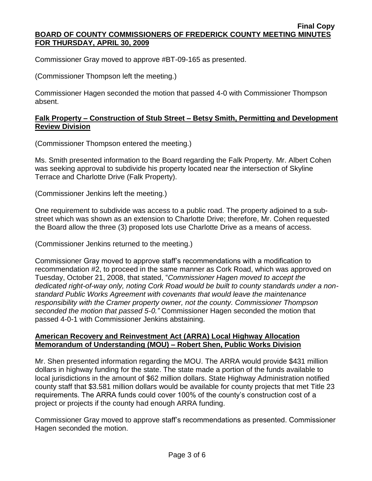Commissioner Gray moved to approve #BT-09-165 as presented.

(Commissioner Thompson left the meeting.)

Commissioner Hagen seconded the motion that passed 4-0 with Commissioner Thompson absent.

## **Falk Property – Construction of Stub Street – Betsy Smith, Permitting and Development Review Division**

(Commissioner Thompson entered the meeting.)

Ms. Smith presented information to the Board regarding the Falk Property. Mr. Albert Cohen was seeking approval to subdivide his property located near the intersection of Skyline Terrace and Charlotte Drive (Falk Property).

(Commissioner Jenkins left the meeting.)

One requirement to subdivide was access to a public road. The property adjoined to a substreet which was shown as an extension to Charlotte Drive; therefore, Mr. Cohen requested the Board allow the three (3) proposed lots use Charlotte Drive as a means of access.

(Commissioner Jenkins returned to the meeting.)

Commissioner Gray moved to approve staff's recommendations with a modification to recommendation #2, to proceed in the same manner as Cork Road, which was approved on Tuesday, October 21, 2008, that stated, "*Commissioner Hagen moved to accept the dedicated right-of-way only, noting Cork Road would be built to county standards under a nonstandard Public Works Agreement with covenants that would leave the maintenance responsibility with the Cramer property owner, not the county. Commissioner Thompson seconded the motion that passed 5-0."* Commissioner Hagen seconded the motion that passed 4-0-1 with Commissioner Jenkins abstaining.

## **American Recovery and Reinvestment Act (ARRA) Local Highway Allocation Memorandum of Understanding (MOU) – Robert Shen, Public Works Division**

Mr. Shen presented information regarding the MOU. The ARRA would provide \$431 million dollars in highway funding for the state. The state made a portion of the funds available to local jurisdictions in the amount of \$62 million dollars. State Highway Administration notified county staff that \$3.581 million dollars would be available for county projects that met Title 23 requirements. The ARRA funds could cover 100% of the county's construction cost of a project or projects if the county had enough ARRA funding.

Commissioner Gray moved to approve staff's recommendations as presented. Commissioner Hagen seconded the motion.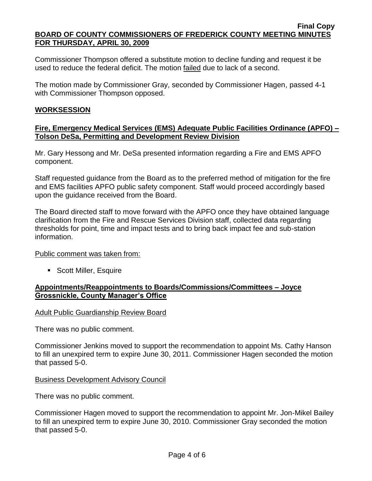#### **Final Copy BOARD OF COUNTY COMMISSIONERS OF FREDERICK COUNTY MEETING MINUTES FOR THURSDAY, APRIL 30, 2009**

Commissioner Thompson offered a substitute motion to decline funding and request it be used to reduce the federal deficit. The motion failed due to lack of a second.

The motion made by Commissioner Gray, seconded by Commissioner Hagen, passed 4-1 with Commissioner Thompson opposed.

## **WORKSESSION**

## **Fire, Emergency Medical Services (EMS) Adequate Public Facilities Ordinance (APFO) – Tolson DeSa, Permitting and Development Review Division**

Mr. Gary Hessong and Mr. DeSa presented information regarding a Fire and EMS APFO component.

Staff requested guidance from the Board as to the preferred method of mitigation for the fire and EMS facilities APFO public safety component. Staff would proceed accordingly based upon the guidance received from the Board.

The Board directed staff to move forward with the APFO once they have obtained language clarification from the Fire and Rescue Services Division staff, collected data regarding thresholds for point, time and impact tests and to bring back impact fee and sub-station information.

Public comment was taken from:

**Scott Miller, Esquire** 

# **Appointments/Reappointments to Boards/Commissions/Committees – Joyce Grossnickle, County Manager's Office**

Adult Public Guardianship Review Board

There was no public comment.

Commissioner Jenkins moved to support the recommendation to appoint Ms. Cathy Hanson to fill an unexpired term to expire June 30, 2011. Commissioner Hagen seconded the motion that passed 5-0.

## Business Development Advisory Council

There was no public comment.

Commissioner Hagen moved to support the recommendation to appoint Mr. Jon-Mikel Bailey to fill an unexpired term to expire June 30, 2010. Commissioner Gray seconded the motion that passed 5-0.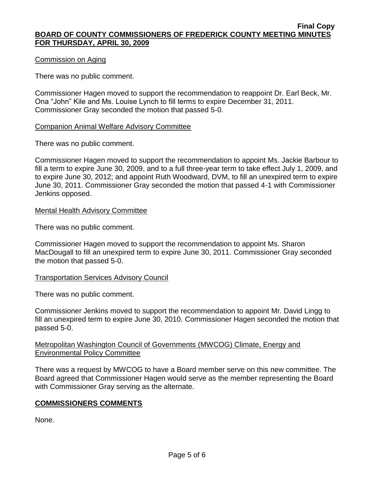## Commission on Aging

There was no public comment.

Commissioner Hagen moved to support the recommendation to reappoint Dr. Earl Beck, Mr. Ona "John" Kile and Ms. Louise Lynch to fill terms to expire December 31, 2011. Commissioner Gray seconded the motion that passed 5-0.

## Companion Animal Welfare Advisory Committee

There was no public comment.

Commissioner Hagen moved to support the recommendation to appoint Ms. Jackie Barbour to fill a term to expire June 30, 2009, and to a full three-year term to take effect July 1, 2009, and to expire June 30, 2012; and appoint Ruth Woodward, DVM, to fill an unexpired term to expire June 30, 2011. Commissioner Gray seconded the motion that passed 4-1 with Commissioner Jenkins opposed.

## Mental Health Advisory Committee

There was no public comment.

Commissioner Hagen moved to support the recommendation to appoint Ms. Sharon MacDougall to fill an unexpired term to expire June 30, 2011. Commissioner Gray seconded the motion that passed 5-0.

## Transportation Services Advisory Council

There was no public comment.

Commissioner Jenkins moved to support the recommendation to appoint Mr. David Lingg to fill an unexpired term to expire June 30, 2010. Commissioner Hagen seconded the motion that passed 5-0.

## Metropolitan Washington Council of Governments (MWCOG) Climate, Energy and Environmental Policy Committee

There was a request by MWCOG to have a Board member serve on this new committee. The Board agreed that Commissioner Hagen would serve as the member representing the Board with Commissioner Gray serving as the alternate.

# **COMMISSIONERS COMMENTS**

None.